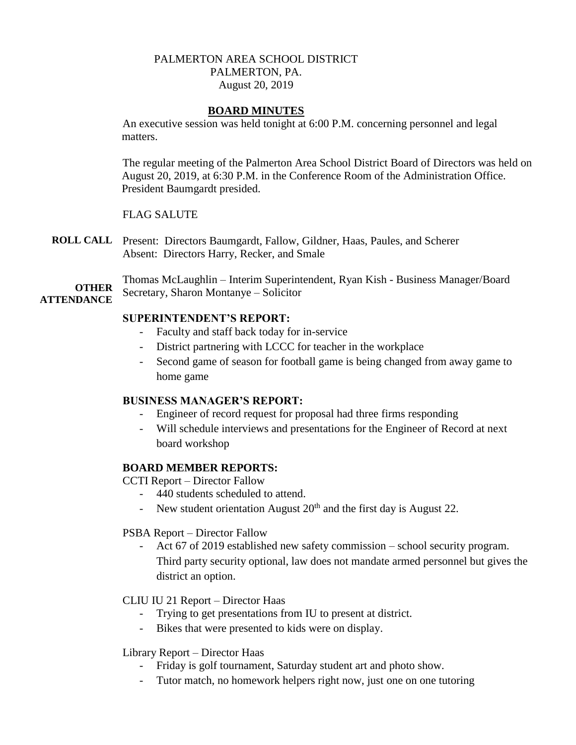# PALMERTON AREA SCHOOL DISTRICT PALMERTON, PA. August 20, 2019

#### **BOARD MINUTES**

An executive session was held tonight at 6:00 P.M. concerning personnel and legal matters.

The regular meeting of the Palmerton Area School District Board of Directors was held on August 20, 2019, at 6:30 P.M. in the Conference Room of the Administration Office. President Baumgardt presided.

#### FLAG SALUTE

**ROLL CALL** Present: Directors Baumgardt, Fallow, Gildner, Haas, Paules, and Scherer Absent: Directors Harry, Recker, and Smale

**OTHER ATTENDANCE** Thomas McLaughlin – Interim Superintendent, Ryan Kish - Business Manager/Board Secretary, Sharon Montanye – Solicitor

#### **SUPERINTENDENT'S REPORT:**

- Faculty and staff back today for in-service
- District partnering with LCCC for teacher in the workplace
- Second game of season for football game is being changed from away game to home game

# **BUSINESS MANAGER'S REPORT:**

- Engineer of record request for proposal had three firms responding
- Will schedule interviews and presentations for the Engineer of Record at next board workshop

# **BOARD MEMBER REPORTS:**

CCTI Report – Director Fallow

- 440 students scheduled to attend.
- New student orientation August  $20<sup>th</sup>$  and the first day is August 22.

PSBA Report – Director Fallow

Act 67 of 2019 established new safety commission – school security program. Third party security optional, law does not mandate armed personnel but gives the district an option.

#### CLIU IU 21 Report – Director Haas

- Trying to get presentations from IU to present at district.
- Bikes that were presented to kids were on display.

#### Library Report – Director Haas

- Friday is golf tournament, Saturday student art and photo show.
- Tutor match, no homework helpers right now, just one on one tutoring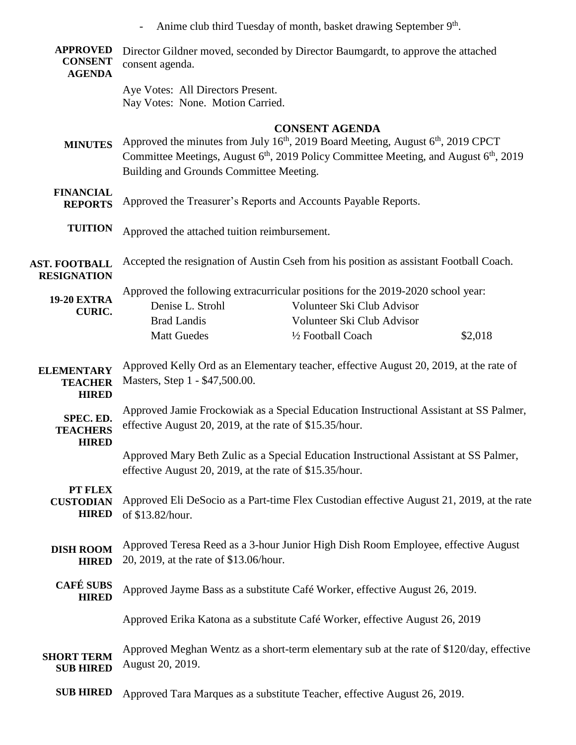|                                                     |                                                                                                                                                                                                                                                                           | Anime club third Tuesday of month, basket drawing September 9th.                                                                            |         |
|-----------------------------------------------------|---------------------------------------------------------------------------------------------------------------------------------------------------------------------------------------------------------------------------------------------------------------------------|---------------------------------------------------------------------------------------------------------------------------------------------|---------|
| <b>APPROVED</b><br><b>CONSENT</b><br><b>AGENDA</b>  | consent agenda.                                                                                                                                                                                                                                                           | Director Gildner moved, seconded by Director Baumgardt, to approve the attached                                                             |         |
|                                                     | Aye Votes: All Directors Present.<br>Nay Votes: None. Motion Carried.                                                                                                                                                                                                     |                                                                                                                                             |         |
| <b>MINUTES</b>                                      | <b>CONSENT AGENDA</b><br>Approved the minutes from July $16th$ , 2019 Board Meeting, August $6th$ , 2019 CPCT<br>Committee Meetings, August 6 <sup>th</sup> , 2019 Policy Committee Meeting, and August 6 <sup>th</sup> , 2019<br>Building and Grounds Committee Meeting. |                                                                                                                                             |         |
| <b>FINANCIAL</b><br><b>REPORTS</b>                  | Approved the Treasurer's Reports and Accounts Payable Reports.                                                                                                                                                                                                            |                                                                                                                                             |         |
| <b>TUITION</b>                                      | Approved the attached tuition reimbursement.                                                                                                                                                                                                                              |                                                                                                                                             |         |
| <b>AST. FOOTBALL</b><br><b>RESIGNATION</b>          | Accepted the resignation of Austin Cseh from his position as assistant Football Coach.                                                                                                                                                                                    |                                                                                                                                             |         |
| <b>19-20 EXTRA</b><br><b>CURIC.</b>                 | Denise L. Strohl<br><b>Brad Landis</b>                                                                                                                                                                                                                                    | Approved the following extracurricular positions for the 2019-2020 school year:<br>Volunteer Ski Club Advisor<br>Volunteer Ski Club Advisor |         |
|                                                     | <b>Matt Guedes</b>                                                                                                                                                                                                                                                        | 1/2 Football Coach                                                                                                                          | \$2,018 |
| <b>ELEMENTARY</b><br><b>TEACHER</b><br><b>HIRED</b> | Approved Kelly Ord as an Elementary teacher, effective August 20, 2019, at the rate of<br>Masters, Step 1 - \$47,500.00.                                                                                                                                                  |                                                                                                                                             |         |
| SPEC. ED.<br><b>TEACHERS</b><br><b>HIRED</b>        | Approved Jamie Frockowiak as a Special Education Instructional Assistant at SS Palmer,<br>effective August 20, 2019, at the rate of \$15.35/hour.                                                                                                                         |                                                                                                                                             |         |
|                                                     | effective August 20, 2019, at the rate of \$15.35/hour.                                                                                                                                                                                                                   | Approved Mary Beth Zulic as a Special Education Instructional Assistant at SS Palmer,                                                       |         |
| PT FLEX<br><b>CUSTODIAN</b><br><b>HIRED</b>         | of \$13.82/hour.                                                                                                                                                                                                                                                          | Approved Eli DeSocio as a Part-time Flex Custodian effective August 21, 2019, at the rate                                                   |         |
| <b>DISH ROOM</b><br><b>HIRED</b>                    | 20, 2019, at the rate of \$13.06/hour.                                                                                                                                                                                                                                    | Approved Teresa Reed as a 3-hour Junior High Dish Room Employee, effective August                                                           |         |
| <b>CAFÉ SUBS</b><br><b>HIRED</b>                    |                                                                                                                                                                                                                                                                           | Approved Jayme Bass as a substitute Café Worker, effective August 26, 2019.                                                                 |         |
|                                                     |                                                                                                                                                                                                                                                                           | Approved Erika Katona as a substitute Café Worker, effective August 26, 2019                                                                |         |
| <b>SHORT TERM</b><br><b>SUB HIRED</b>               | Approved Meghan Wentz as a short-term elementary sub at the rate of \$120/day, effective<br>August 20, 2019.                                                                                                                                                              |                                                                                                                                             |         |
| <b>SUB HIRED</b>                                    |                                                                                                                                                                                                                                                                           | Approved Tara Marques as a substitute Teacher, effective August 26, 2019.                                                                   |         |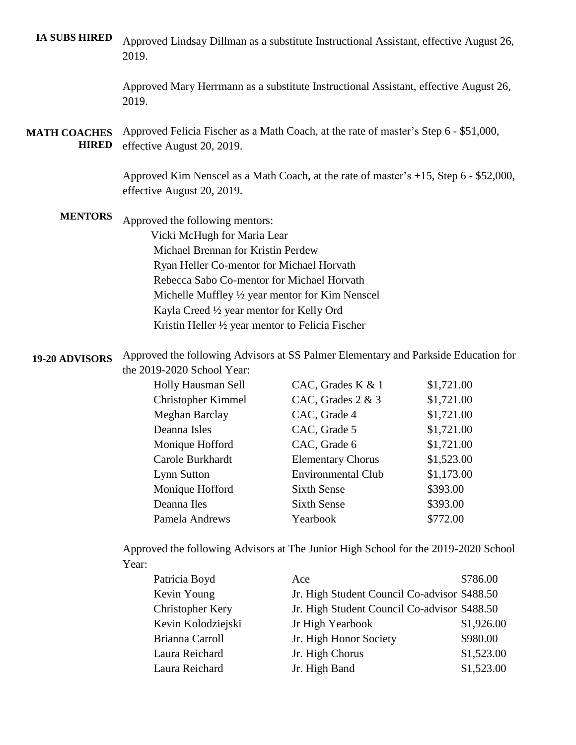**IA SUBS HIRED** Approved Lindsay Dillman as a substitute Instructional Assistant, effective August 26, 2019.

> Approved Mary Herrmann as a substitute Instructional Assistant, effective August 26, 2019.

**MATH COACHES HIRED** Approved Felicia Fischer as a Math Coach, at the rate of master's Step 6 - \$51,000, effective August 20, 2019.

> Approved Kim Nenscel as a Math Coach, at the rate of master's +15, Step 6 - \$52,000, effective August 20, 2019.

**MENTORS** Approved the following mentors: Vicki McHugh for Maria Lear Michael Brennan for Kristin Perdew Ryan Heller Co-mentor for Michael Horvath Rebecca Sabo Co-mentor for Michael Horvath Michelle Muffley ½ year mentor for Kim Nenscel Kayla Creed ½ year mentor for Kelly Ord Kristin Heller ½ year mentor to Felicia Fischer

**19-20 ADVISORS** Approved the following Advisors at SS Palmer Elementary and Parkside Education for the 2019-2020 School Year:

| Holly Hausman Sell        | CAC, Grades K & 1         | \$1,721.00 |
|---------------------------|---------------------------|------------|
| <b>Christopher Kimmel</b> | CAC, Grades $2 \& 3$      | \$1,721.00 |
| Meghan Barclay            | CAC, Grade 4              | \$1,721.00 |
| Deanna Isles              | CAC, Grade 5              | \$1,721.00 |
| Monique Hofford           | CAC, Grade 6              | \$1,721.00 |
| Carole Burkhardt          | <b>Elementary Chorus</b>  | \$1,523.00 |
| Lynn Sutton               | <b>Environmental Club</b> | \$1,173.00 |
| Monique Hofford           | <b>Sixth Sense</b>        | \$393.00   |
| Deanna Iles               | <b>Sixth Sense</b>        | \$393.00   |
| Pamela Andrews            | Yearbook                  | \$772.00   |

Approved the following Advisors at The Junior High School for the 2019-2020 School Year:

| Patricia Boyd           | Ace                                          | \$786.00   |
|-------------------------|----------------------------------------------|------------|
| Kevin Young             | Jr. High Student Council Co-advisor \$488.50 |            |
| <b>Christopher Kery</b> | Jr. High Student Council Co-advisor \$488.50 |            |
| Kevin Kolodziejski      | Jr High Yearbook                             | \$1,926.00 |
| Brianna Carroll         | Jr. High Honor Society                       | \$980.00   |
| Laura Reichard          | Jr. High Chorus                              | \$1,523.00 |
| Laura Reichard          | Jr. High Band                                | \$1,523.00 |
|                         |                                              |            |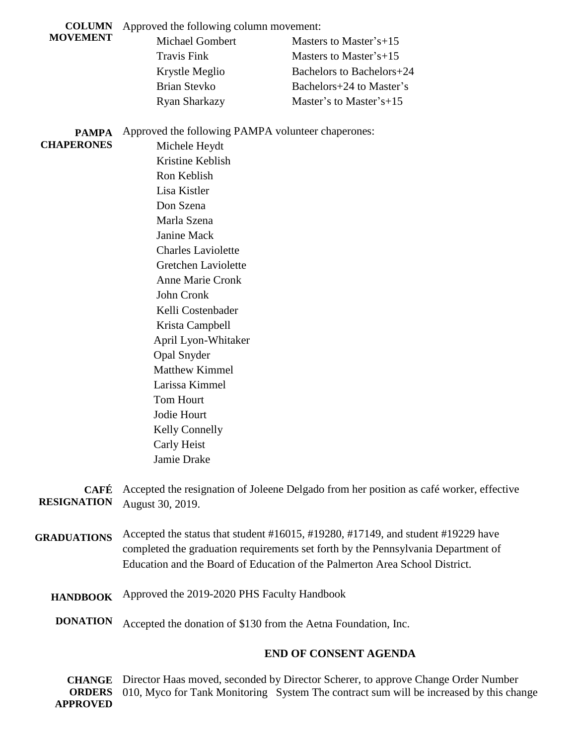**COLUMN**  Approved the following column movement:

#### **MOVEMENT**

| Masters to Master's+15    |
|---------------------------|
| Masters to Master's $+15$ |
| Bachelors to Bachelors+24 |
| Bachelors+24 to Master's  |
| Master's to Master's+15   |
|                           |

# **PAMPA**

Approved the following PAMPA volunteer chaperones:

# **CHAPERONES**

 Michele Heydt Kristine Keblish Ron Keblish Lisa Kistler Don Szena Marla Szena Janine Mack Charles Laviolette Gretchen Laviolette Anne Marie Cronk John Cronk Kelli Costenbader Krista Campbell April Lyon-Whitaker Opal Snyder Matthew Kimmel Larissa Kimmel Tom Hourt Jodie Hourt Kelly Connelly Carly Heist Jamie Drake

**CAFÉ**  Accepted the resignation of Joleene Delgado from her position as café worker, effective **RESIGNATION** August 30, 2019.

- **GRADUATIONS** Accepted the status that student #16015, #19280, #17149, and student #19229 have completed the graduation requirements set forth by the Pennsylvania Department of Education and the Board of Education of the Palmerton Area School District.
	- **HANDBOOK** Approved the 2019-2020 PHS Faculty Handbook
	- **DONATION** Accepted the donation of \$130 from the Aetna Foundation, Inc.

# **END OF CONSENT AGENDA**

**CHANGE ORDERS APPROVED** Director Haas moved, seconded by Director Scherer, to approve Change Order Number 010, Myco for Tank Monitoring System The contract sum will be increased by this change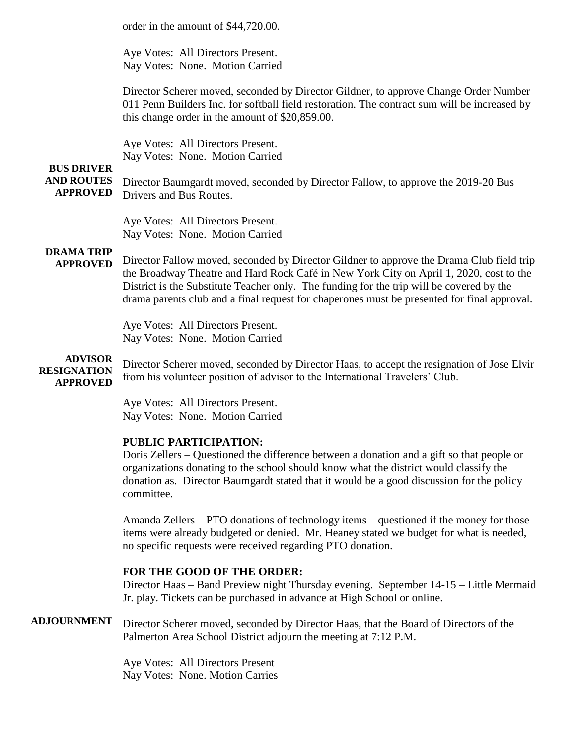|                                                           | order in the amount of \$44,720.00.                                                                                                                                                                                                                                                                                                                                           |
|-----------------------------------------------------------|-------------------------------------------------------------------------------------------------------------------------------------------------------------------------------------------------------------------------------------------------------------------------------------------------------------------------------------------------------------------------------|
|                                                           | Aye Votes: All Directors Present.<br>Nay Votes: None. Motion Carried                                                                                                                                                                                                                                                                                                          |
|                                                           | Director Scherer moved, seconded by Director Gildner, to approve Change Order Number<br>011 Penn Builders Inc. for softball field restoration. The contract sum will be increased by<br>this change order in the amount of \$20,859.00.                                                                                                                                       |
|                                                           | Aye Votes: All Directors Present.<br>Nay Votes: None. Motion Carried                                                                                                                                                                                                                                                                                                          |
| <b>BUS DRIVER</b><br><b>AND ROUTES</b><br><b>APPROVED</b> | Director Baumgardt moved, seconded by Director Fallow, to approve the 2019-20 Bus<br>Drivers and Bus Routes.                                                                                                                                                                                                                                                                  |
|                                                           | Aye Votes: All Directors Present.<br>Nay Votes: None. Motion Carried                                                                                                                                                                                                                                                                                                          |
| <b>DRAMA TRIP</b><br><b>APPROVED</b>                      | Director Fallow moved, seconded by Director Gildner to approve the Drama Club field trip<br>the Broadway Theatre and Hard Rock Café in New York City on April 1, 2020, cost to the<br>District is the Substitute Teacher only. The funding for the trip will be covered by the<br>drama parents club and a final request for chaperones must be presented for final approval. |
|                                                           | Aye Votes: All Directors Present.<br>Nay Votes: None. Motion Carried                                                                                                                                                                                                                                                                                                          |
| <b>ADVISOR</b><br><b>RESIGNATION</b><br><b>APPROVED</b>   | Director Scherer moved, seconded by Director Haas, to accept the resignation of Jose Elvir<br>from his volunteer position of advisor to the International Travelers' Club.                                                                                                                                                                                                    |
|                                                           | Aye Votes: All Directors Present.<br>Nay Votes: None. Motion Carried                                                                                                                                                                                                                                                                                                          |
|                                                           | PUBLIC PARTICIPATION:<br>Doris Zellers – Questioned the difference between a donation and a gift so that people or<br>organizations donating to the school should know what the district would classify the<br>donation as. Director Baumgardt stated that it would be a good discussion for the policy<br>committee.                                                         |
|                                                           | Amanda Zellers – PTO donations of technology items – questioned if the money for those<br>items were already budgeted or denied. Mr. Heaney stated we budget for what is needed,<br>no specific requests were received regarding PTO donation.                                                                                                                                |
|                                                           | FOR THE GOOD OF THE ORDER:<br>Director Haas – Band Preview night Thursday evening. September 14-15 – Little Mermaid<br>Jr. play. Tickets can be purchased in advance at High School or online.                                                                                                                                                                                |
| <b>ADJOURNMENT</b>                                        | Director Scherer moved, seconded by Director Haas, that the Board of Directors of the<br>Palmerton Area School District adjourn the meeting at 7:12 P.M.                                                                                                                                                                                                                      |
|                                                           | Aye Votes: All Directors Present<br>Nay Votes: None. Motion Carries                                                                                                                                                                                                                                                                                                           |